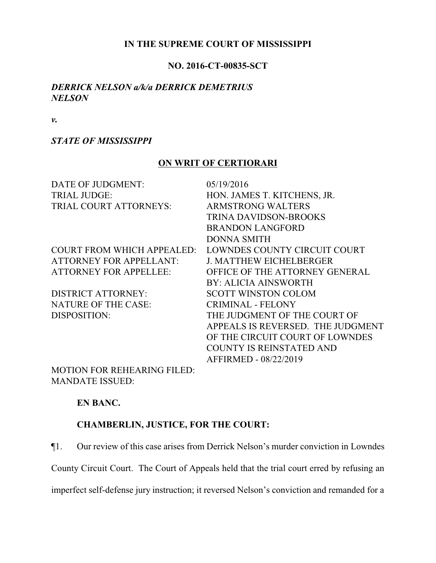## **IN THE SUPREME COURT OF MISSISSIPPI**

### **NO. 2016-CT-00835-SCT**

## *DERRICK NELSON a/k/a DERRICK DEMETRIUS NELSON*

*v.*

### *STATE OF MISSISSIPPI*

## **ON WRIT OF CERTIORARI**

| DATE OF JUDGMENT:                 | 05/19/2016                        |
|-----------------------------------|-----------------------------------|
|                                   |                                   |
| <b>TRIAL JUDGE:</b>               | HON. JAMES T. KITCHENS, JR.       |
| TRIAL COURT ATTORNEYS:            | <b>ARMSTRONG WALTERS</b>          |
|                                   | <b>TRINA DAVIDSON-BROOKS</b>      |
|                                   | <b>BRANDON LANGFORD</b>           |
|                                   | <b>DONNA SMITH</b>                |
| <b>COURT FROM WHICH APPEALED:</b> | LOWNDES COUNTY CIRCUIT COURT      |
| <b>ATTORNEY FOR APPELLANT:</b>    | <b>J. MATTHEW EICHELBERGER</b>    |
| <b>ATTORNEY FOR APPELLEE:</b>     | OFFICE OF THE ATTORNEY GENERAL    |
|                                   | <b>BY: ALICIA AINSWORTH</b>       |
| <b>DISTRICT ATTORNEY:</b>         | <b>SCOTT WINSTON COLOM</b>        |
| <b>NATURE OF THE CASE:</b>        | <b>CRIMINAL - FELONY</b>          |
| DISPOSITION:                      | THE JUDGMENT OF THE COURT OF      |
|                                   | APPEALS IS REVERSED. THE JUDGMENT |
|                                   | OF THE CIRCUIT COURT OF LOWNDES   |
|                                   | <b>COUNTY IS REINSTATED AND</b>   |
|                                   | AFFIRMED - 08/22/2019             |
| $\overline{110}$                  |                                   |

MOTION FOR REHEARING FILED: MANDATE ISSUED:

## **EN BANC.**

## **CHAMBERLIN, JUSTICE, FOR THE COURT:**

¶1. Our review of this case arises from Derrick Nelson's murder conviction in Lowndes

County Circuit Court. The Court of Appeals held that the trial court erred by refusing an

imperfect self-defense jury instruction; it reversed Nelson's conviction and remanded for a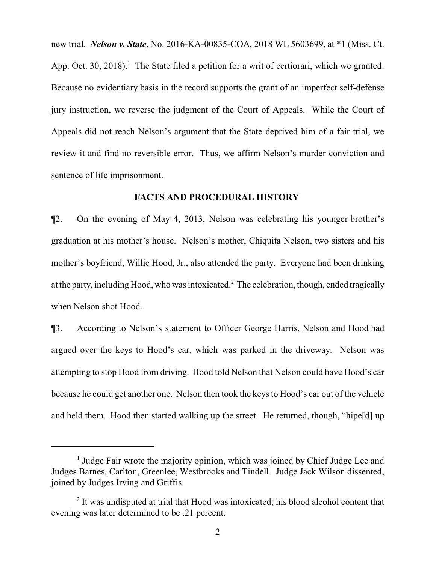new trial. *Nelson v. State*, No. 2016-KA-00835-COA, 2018 WL 5603699, at \*1 (Miss. Ct. App. Oct. 30, 2018).<sup>1</sup> The State filed a petition for a writ of certiorari, which we granted. Because no evidentiary basis in the record supports the grant of an imperfect self-defense jury instruction, we reverse the judgment of the Court of Appeals. While the Court of Appeals did not reach Nelson's argument that the State deprived him of a fair trial, we review it and find no reversible error. Thus, we affirm Nelson's murder conviction and sentence of life imprisonment.

## **FACTS AND PROCEDURAL HISTORY**

¶2. On the evening of May 4, 2013, Nelson was celebrating his younger brother's graduation at his mother's house. Nelson's mother, Chiquita Nelson, two sisters and his mother's boyfriend, Willie Hood, Jr., also attended the party. Everyone had been drinking at the party, including Hood, who was intoxicated.<sup>2</sup> The celebration, though, ended tragically when Nelson shot Hood.

¶3. According to Nelson's statement to Officer George Harris, Nelson and Hood had argued over the keys to Hood's car, which was parked in the driveway. Nelson was attempting to stop Hood from driving. Hood told Nelson that Nelson could have Hood's car because he could get another one. Nelson then took the keys to Hood's car out of the vehicle and held them. Hood then started walking up the street. He returned, though, "hipe[d] up

<sup>&</sup>lt;sup>1</sup> Judge Fair wrote the majority opinion, which was joined by Chief Judge Lee and Judges Barnes, Carlton, Greenlee, Westbrooks and Tindell. Judge Jack Wilson dissented, joined by Judges Irving and Griffis.

<sup>&</sup>lt;sup>2</sup> It was undisputed at trial that Hood was intoxicated; his blood alcohol content that evening was later determined to be .21 percent.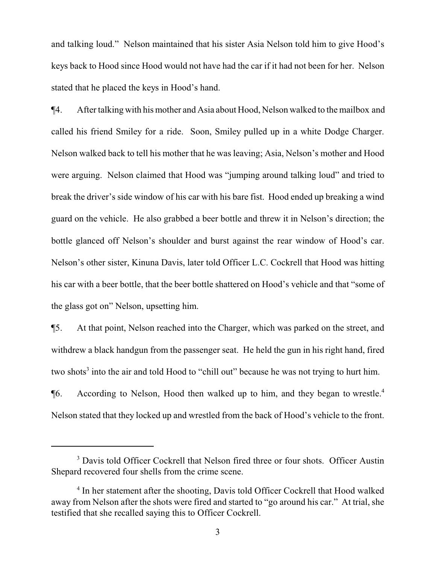and talking loud." Nelson maintained that his sister Asia Nelson told him to give Hood's keys back to Hood since Hood would not have had the car if it had not been for her. Nelson stated that he placed the keys in Hood's hand.

¶4. After talking with his mother and Asia about Hood, Nelson walked to the mailbox and called his friend Smiley for a ride. Soon, Smiley pulled up in a white Dodge Charger. Nelson walked back to tell his mother that he was leaving; Asia, Nelson's mother and Hood were arguing. Nelson claimed that Hood was "jumping around talking loud" and tried to break the driver's side window of his car with his bare fist. Hood ended up breaking a wind guard on the vehicle. He also grabbed a beer bottle and threw it in Nelson's direction; the bottle glanced off Nelson's shoulder and burst against the rear window of Hood's car. Nelson's other sister, Kinuna Davis, later told Officer L.C. Cockrell that Hood was hitting his car with a beer bottle, that the beer bottle shattered on Hood's vehicle and that "some of the glass got on" Nelson, upsetting him.

¶5. At that point, Nelson reached into the Charger, which was parked on the street, and withdrew a black handgun from the passenger seat. He held the gun in his right hand, fired two shots<sup>3</sup> into the air and told Hood to "chill out" because he was not trying to hurt him. ¶6. According to Nelson, Hood then walked up to him, and they began to wrestle.<sup>4</sup> Nelson stated that they locked up and wrestled from the back of Hood's vehicle to the front.

<sup>&</sup>lt;sup>3</sup> Davis told Officer Cockrell that Nelson fired three or four shots. Officer Austin Shepard recovered four shells from the crime scene.

<sup>&</sup>lt;sup>4</sup> In her statement after the shooting, Davis told Officer Cockrell that Hood walked away from Nelson after the shots were fired and started to "go around his car." At trial, she testified that she recalled saying this to Officer Cockrell.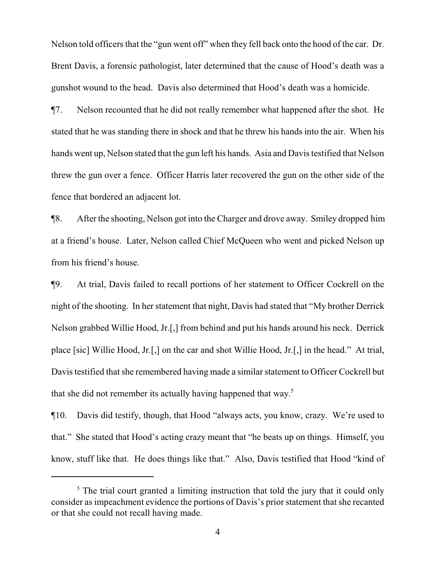Nelson told officers that the "gun went off" when they fell back onto the hood of the car. Dr. Brent Davis, a forensic pathologist, later determined that the cause of Hood's death was a gunshot wound to the head. Davis also determined that Hood's death was a homicide.

¶7. Nelson recounted that he did not really remember what happened after the shot. He stated that he was standing there in shock and that he threw his hands into the air. When his hands went up, Nelson stated that the gun left his hands. Asia and Davis testified that Nelson threw the gun over a fence. Officer Harris later recovered the gun on the other side of the fence that bordered an adjacent lot.

¶8. After the shooting, Nelson got into the Charger and drove away. Smiley dropped him at a friend's house. Later, Nelson called Chief McQueen who went and picked Nelson up from his friend's house.

¶9. At trial, Davis failed to recall portions of her statement to Officer Cockrell on the night of the shooting. In her statement that night, Davis had stated that "My brother Derrick Nelson grabbed Willie Hood, Jr.[,] from behind and put his hands around his neck. Derrick place [sic] Willie Hood, Jr.[,] on the car and shot Willie Hood, Jr.[,] in the head." At trial, Davis testified that she remembered having made a similar statement to Officer Cockrell but that she did not remember its actually having happened that way. 5

¶10. Davis did testify, though, that Hood "always acts, you know, crazy. We're used to that." She stated that Hood's acting crazy meant that "he beats up on things. Himself, you know, stuff like that. He does things like that." Also, Davis testified that Hood "kind of

 $<sup>5</sup>$  The trial court granted a limiting instruction that told the jury that it could only</sup> consider as impeachment evidence the portions of Davis's prior statement that she recanted or that she could not recall having made.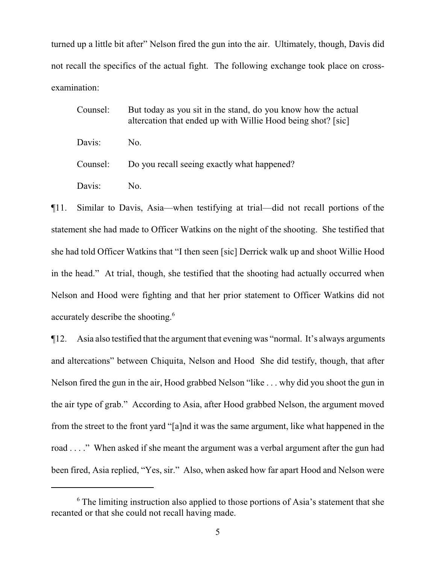turned up a little bit after" Nelson fired the gun into the air. Ultimately, though, Davis did not recall the specifics of the actual fight. The following exchange took place on crossexamination:

Counsel: But today as you sit in the stand, do you know how the actual altercation that ended up with Willie Hood being shot? [sic] Davis: No. Counsel: Do you recall seeing exactly what happened? Davis: No.

¶11. Similar to Davis, Asia—when testifying at trial—did not recall portions of the statement she had made to Officer Watkins on the night of the shooting. She testified that she had told Officer Watkins that "I then seen [sic] Derrick walk up and shoot Willie Hood in the head." At trial, though, she testified that the shooting had actually occurred when Nelson and Hood were fighting and that her prior statement to Officer Watkins did not accurately describe the shooting.<sup>6</sup>

¶12. Asia also testified that the argument that evening was "normal. It's always arguments and altercations" between Chiquita, Nelson and Hood She did testify, though, that after Nelson fired the gun in the air, Hood grabbed Nelson "like . . . why did you shoot the gun in the air type of grab." According to Asia, after Hood grabbed Nelson, the argument moved from the street to the front yard "[a]nd it was the same argument, like what happened in the road . . . ." When asked if she meant the argument was a verbal argument after the gun had been fired, Asia replied, "Yes, sir." Also, when asked how far apart Hood and Nelson were

 $6$  The limiting instruction also applied to those portions of Asia's statement that she recanted or that she could not recall having made.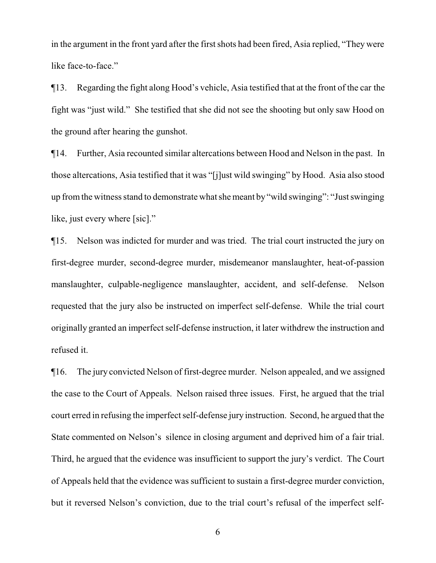in the argument in the front yard after the first shots had been fired, Asia replied, "They were like face-to-face."

¶13. Regarding the fight along Hood's vehicle, Asia testified that at the front of the car the fight was "just wild." She testified that she did not see the shooting but only saw Hood on the ground after hearing the gunshot.

¶14. Further, Asia recounted similar altercations between Hood and Nelson in the past. In those altercations, Asia testified that it was "[j]ust wild swinging" by Hood. Asia also stood up fromthe witness stand to demonstrate what she meant by "wild swinging": "Just swinging like, just every where [sic]."

¶15. Nelson was indicted for murder and was tried. The trial court instructed the jury on first-degree murder, second-degree murder, misdemeanor manslaughter, heat-of-passion manslaughter, culpable-negligence manslaughter, accident, and self-defense. Nelson requested that the jury also be instructed on imperfect self-defense. While the trial court originally granted an imperfect self-defense instruction, it later withdrew the instruction and refused it.

¶16. The jury convicted Nelson of first-degree murder. Nelson appealed, and we assigned the case to the Court of Appeals. Nelson raised three issues. First, he argued that the trial court erred in refusing the imperfect self-defense jury instruction. Second, he argued that the State commented on Nelson's silence in closing argument and deprived him of a fair trial. Third, he argued that the evidence was insufficient to support the jury's verdict. The Court of Appeals held that the evidence was sufficient to sustain a first-degree murder conviction, but it reversed Nelson's conviction, due to the trial court's refusal of the imperfect self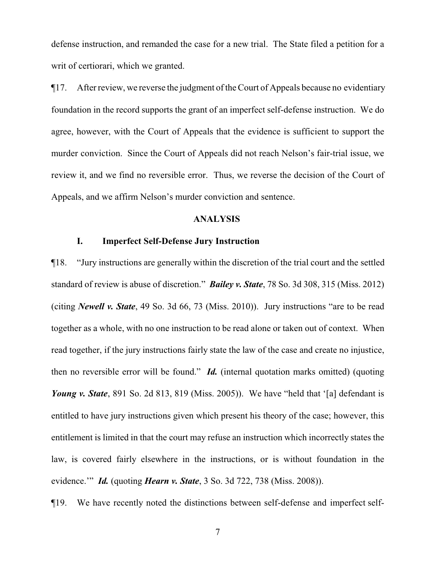defense instruction, and remanded the case for a new trial. The State filed a petition for a writ of certiorari, which we granted.

¶17. After review, we reverse the judgment of the Court of Appeals because no evidentiary foundation in the record supports the grant of an imperfect self-defense instruction. We do agree, however, with the Court of Appeals that the evidence is sufficient to support the murder conviction. Since the Court of Appeals did not reach Nelson's fair-trial issue, we review it, and we find no reversible error. Thus, we reverse the decision of the Court of Appeals, and we affirm Nelson's murder conviction and sentence.

#### **ANALYSIS**

## **I. Imperfect Self-Defense Jury Instruction**

¶18. "Jury instructions are generally within the discretion of the trial court and the settled standard of review is abuse of discretion." *Bailey v. State*, 78 So. 3d 308, 315 (Miss. 2012) (citing *Newell v. State*, 49 So. 3d 66, 73 (Miss. 2010)). Jury instructions "are to be read together as a whole, with no one instruction to be read alone or taken out of context. When read together, if the jury instructions fairly state the law of the case and create no injustice, then no reversible error will be found." *Id.* (internal quotation marks omitted) (quoting *Young v. State*, 891 So. 2d 813, 819 (Miss. 2005)). We have "held that '[a] defendant is entitled to have jury instructions given which present his theory of the case; however, this entitlement is limited in that the court may refuse an instruction which incorrectly states the law, is covered fairly elsewhere in the instructions, or is without foundation in the evidence.'" *Id.* (quoting *Hearn v. State*, 3 So. 3d 722, 738 (Miss. 2008)).

¶19. We have recently noted the distinctions between self-defense and imperfect self-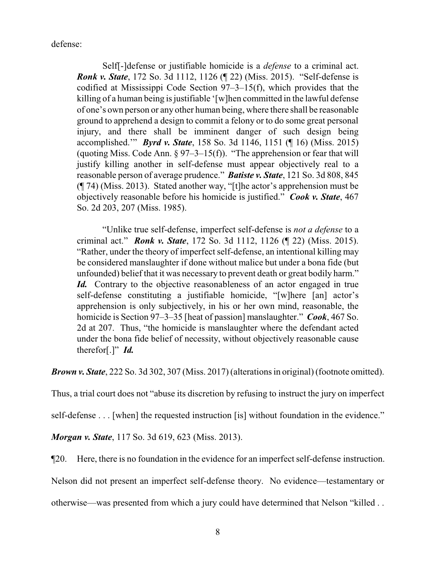defense:

Self[-]defense or justifiable homicide is a *defense* to a criminal act. *Ronk v. State*, 172 So. 3d 1112, 1126 (¶ 22) (Miss. 2015). "Self-defense is codified at Mississippi Code Section 97–3–15(f), which provides that the killing of a human being is justifiable '[w]hen committed in the lawful defense of one's own person or any other human being, where there shall be reasonable ground to apprehend a design to commit a felony or to do some great personal injury, and there shall be imminent danger of such design being accomplished.'" *Byrd v. State*, 158 So. 3d 1146, 1151 (¶ 16) (Miss. 2015) (quoting Miss. Code Ann.  $\S 97-3-15(f)$ ). "The apprehension or fear that will justify killing another in self-defense must appear objectively real to a reasonable person of average prudence." *Batiste v. State*, 121 So. 3d 808, 845 (¶ 74) (Miss. 2013). Stated another way, "[t]he actor's apprehension must be objectively reasonable before his homicide is justified." *Cook v. State*, 467 So. 2d 203, 207 (Miss. 1985).

"Unlike true self-defense, imperfect self-defense is *not a defense* to a criminal act." *Ronk v. State*, 172 So. 3d 1112, 1126 (¶ 22) (Miss. 2015). "Rather, under the theory of imperfect self-defense, an intentional killing may be considered manslaughter if done without malice but under a bona fide (but unfounded) belief that it was necessary to prevent death or great bodily harm." Id. Contrary to the objective reasonableness of an actor engaged in true self-defense constituting a justifiable homicide, "[w]here [an] actor's apprehension is only subjectively, in his or her own mind, reasonable, the homicide is Section 97–3–35 [heat of passion] manslaughter." *Cook*, 467 So. 2d at 207. Thus, "the homicide is manslaughter where the defendant acted under the bona fide belief of necessity, without objectively reasonable cause therefor[.]" *Id.*

*Brown v. State*, 222 So. 3d 302, 307 (Miss. 2017) (alterations in original) (footnote omitted).

Thus, a trial court does not "abuse its discretion by refusing to instruct the jury on imperfect

self-defense . . . [when] the requested instruction [is] without foundation in the evidence."

*Morgan v. State*, 117 So. 3d 619, 623 (Miss. 2013).

¶20. Here, there is no foundation in the evidence for an imperfect self-defense instruction.

Nelson did not present an imperfect self-defense theory. No evidence—testamentary or

otherwise—was presented from which a jury could have determined that Nelson "killed . .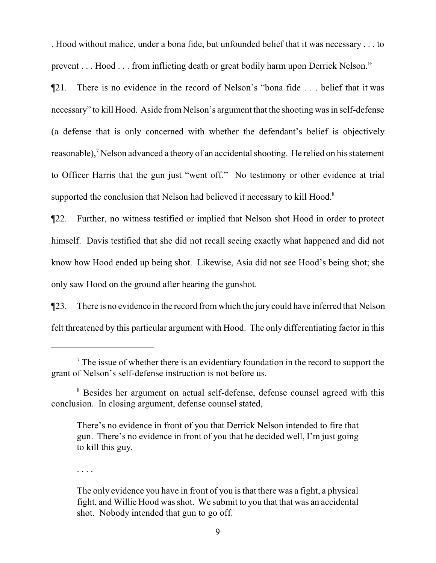. Hood without malice, under a bona fide, but unfounded belief that it was necessary . . . to prevent . . . Hood . . . from inflicting death or great bodily harm upon Derrick Nelson."

¶21. There is no evidence in the record of Nelson's "bona fide . . . belief that it was necessary" to kill Hood. Aside from Nelson's argument that the shooting was in self-defense (a defense that is only concerned with whether the defendant's belief is objectively reasonable),<sup>7</sup> Nelson advanced a theory of an accidental shooting. He relied on his statement to Officer Harris that the gun just "went off." No testimony or other evidence at trial supported the conclusion that Nelson had believed it necessary to kill Hood.<sup>8</sup>

¶22. Further, no witness testified or implied that Nelson shot Hood in order to protect himself. Davis testified that she did not recall seeing exactly what happened and did not know how Hood ended up being shot. Likewise, Asia did not see Hood's being shot; she only saw Hood on the ground after hearing the gunshot.

¶23. There is no evidence in the record from which the jury could have inferred that Nelson felt threatened by this particular argument with Hood. The only differentiating factor in this

. . . .

 $<sup>7</sup>$  The issue of whether there is an evidentiary foundation in the record to support the</sup> grant of Nelson's self-defense instruction is not before us.

<sup>&</sup>lt;sup>8</sup> Besides her argument on actual self-defense, defense counsel agreed with this conclusion. In closing argument, defense counsel stated,

There's no evidence in front of you that Derrick Nelson intended to fire that gun. There's no evidence in front of you that he decided well, I'm just going to kill this guy.

The only evidence you have in front of you is that there was a fight, a physical fight, and Willie Hood was shot. We submit to you that that was an accidental shot. Nobody intended that gun to go off.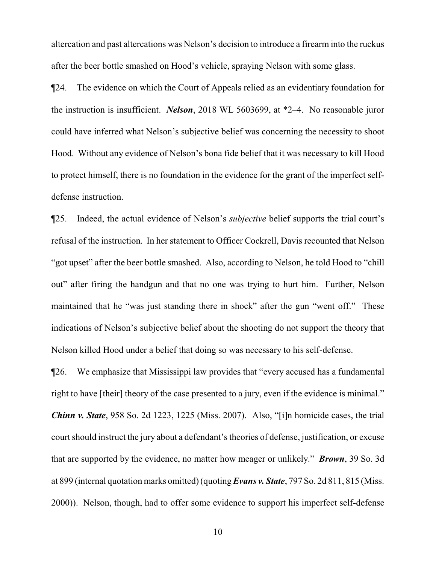altercation and past altercations was Nelson's decision to introduce a firearm into the ruckus after the beer bottle smashed on Hood's vehicle, spraying Nelson with some glass.

¶24. The evidence on which the Court of Appeals relied as an evidentiary foundation for the instruction is insufficient. *Nelson*, 2018 WL 5603699, at \*2–4. No reasonable juror could have inferred what Nelson's subjective belief was concerning the necessity to shoot Hood. Without any evidence of Nelson's bona fide belief that it was necessary to kill Hood to protect himself, there is no foundation in the evidence for the grant of the imperfect selfdefense instruction.

¶25. Indeed, the actual evidence of Nelson's *subjective* belief supports the trial court's refusal of the instruction. In her statement to Officer Cockrell, Davis recounted that Nelson "got upset" after the beer bottle smashed. Also, according to Nelson, he told Hood to "chill out" after firing the handgun and that no one was trying to hurt him. Further, Nelson maintained that he "was just standing there in shock" after the gun "went off." These indications of Nelson's subjective belief about the shooting do not support the theory that Nelson killed Hood under a belief that doing so was necessary to his self-defense.

¶26. We emphasize that Mississippi law provides that "every accused has a fundamental right to have [their] theory of the case presented to a jury, even if the evidence is minimal." *Chinn v. State*, 958 So. 2d 1223, 1225 (Miss. 2007). Also, "[i]n homicide cases, the trial court should instruct the jury about a defendant's theories of defense, justification, or excuse that are supported by the evidence, no matter how meager or unlikely." *Brown*, 39 So. 3d at 899 (internal quotation marks omitted) (quoting *Evans v. State*, 797 So. 2d 811, 815 (Miss. 2000)). Nelson, though, had to offer some evidence to support his imperfect self-defense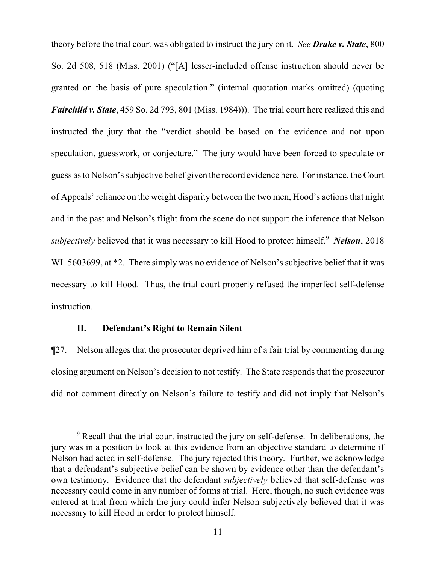theory before the trial court was obligated to instruct the jury on it. *See Drake v. State*, 800 So. 2d 508, 518 (Miss. 2001) ("[A] lesser-included offense instruction should never be granted on the basis of pure speculation." (internal quotation marks omitted) (quoting *Fairchild v. State*, 459 So. 2d 793, 801 (Miss. 1984))). The trial court here realized this and instructed the jury that the "verdict should be based on the evidence and not upon speculation, guesswork, or conjecture." The jury would have been forced to speculate or guess as to Nelson's subjective belief given the record evidence here. For instance, the Court of Appeals' reliance on the weight disparity between the two men, Hood's actions that night and in the past and Nelson's flight from the scene do not support the inference that Nelson *subjectively* believed that it was necessary to kill Hood to protect himself. <sup>9</sup> *Nelson*, 2018 WL 5603699, at  $*2$ . There simply was no evidence of Nelson's subjective belief that it was necessary to kill Hood. Thus, the trial court properly refused the imperfect self-defense instruction.

#### **II. Defendant's Right to Remain Silent**

¶27. Nelson alleges that the prosecutor deprived him of a fair trial by commenting during closing argument on Nelson's decision to not testify. The State responds that the prosecutor did not comment directly on Nelson's failure to testify and did not imply that Nelson's

<sup>&</sup>lt;sup>9</sup> Recall that the trial court instructed the jury on self-defense. In deliberations, the jury was in a position to look at this evidence from an objective standard to determine if Nelson had acted in self-defense. The jury rejected this theory. Further, we acknowledge that a defendant's subjective belief can be shown by evidence other than the defendant's own testimony. Evidence that the defendant *subjectively* believed that self-defense was necessary could come in any number of forms at trial. Here, though, no such evidence was entered at trial from which the jury could infer Nelson subjectively believed that it was necessary to kill Hood in order to protect himself.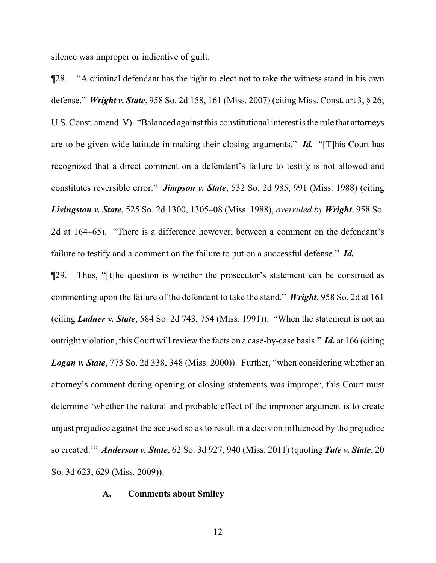silence was improper or indicative of guilt.

¶28. "A criminal defendant has the right to elect not to take the witness stand in his own defense." *Wright v. State*, 958 So. 2d 158, 161 (Miss. 2007) (citing Miss. Const. art 3, § 26; U.S. Const. amend. V). "Balanced against this constitutional interest is the rule that attorneys are to be given wide latitude in making their closing arguments." *Id.* "[T]his Court has recognized that a direct comment on a defendant's failure to testify is not allowed and constitutes reversible error." *Jimpson v. State*, 532 So. 2d 985, 991 (Miss. 1988) (citing *Livingston v. State*, 525 So. 2d 1300, 1305–08 (Miss. 1988), *overruled by Wright*, 958 So. 2d at 164–65). "There is a difference however, between a comment on the defendant's failure to testify and a comment on the failure to put on a successful defense." *Id.*

¶29. Thus, "[t]he question is whether the prosecutor's statement can be construed as commenting upon the failure of the defendant to take the stand." *Wright*, 958 So. 2d at 161 (citing *Ladner v. State*, 584 So. 2d 743, 754 (Miss. 1991)). "When the statement is not an outright violation, this Court will review the facts on a case-by-case basis." *Id.* at 166 (citing *Logan v. State*, 773 So. 2d 338, 348 (Miss. 2000)). Further, "when considering whether an attorney's comment during opening or closing statements was improper, this Court must determine 'whether the natural and probable effect of the improper argument is to create unjust prejudice against the accused so as to result in a decision influenced by the prejudice so created.'" *Anderson v. State*, 62 So. 3d 927, 940 (Miss. 2011) (quoting *Tate v. State*, 20 So. 3d 623, 629 (Miss. 2009)).

#### **A. Comments about Smiley**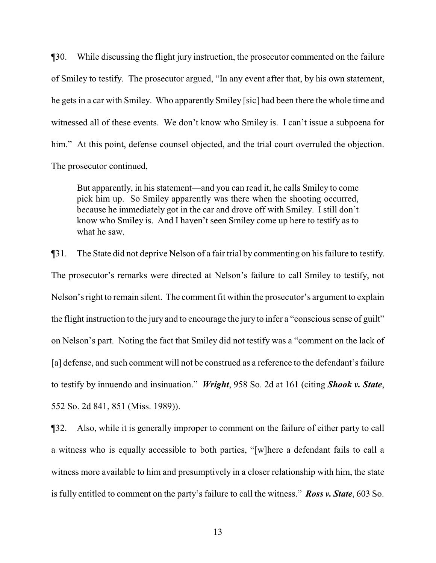¶30. While discussing the flight jury instruction, the prosecutor commented on the failure of Smiley to testify. The prosecutor argued, "In any event after that, by his own statement, he gets in a car with Smiley. Who apparently Smiley [sic] had been there the whole time and witnessed all of these events. We don't know who Smiley is. I can't issue a subpoena for him." At this point, defense counsel objected, and the trial court overruled the objection. The prosecutor continued,

But apparently, in his statement—and you can read it, he calls Smiley to come pick him up. So Smiley apparently was there when the shooting occurred, because he immediately got in the car and drove off with Smiley. I still don't know who Smiley is. And I haven't seen Smiley come up here to testify as to what he saw.

¶31. The State did not deprive Nelson of a fair trial by commenting on his failure to testify. The prosecutor's remarks were directed at Nelson's failure to call Smiley to testify, not Nelson's right to remain silent. The comment fit within the prosecutor's argument to explain the flight instruction to the jury and to encourage the jury to infer a "conscious sense of guilt" on Nelson's part. Noting the fact that Smiley did not testify was a "comment on the lack of [a] defense, and such comment will not be construed as a reference to the defendant's failure to testify by innuendo and insinuation." *Wright*, 958 So. 2d at 161 (citing *Shook v. State*, 552 So. 2d 841, 851 (Miss. 1989)).

¶32. Also, while it is generally improper to comment on the failure of either party to call a witness who is equally accessible to both parties, "[w]here a defendant fails to call a witness more available to him and presumptively in a closer relationship with him, the state is fully entitled to comment on the party's failure to call the witness." *Ross v. State*, 603 So.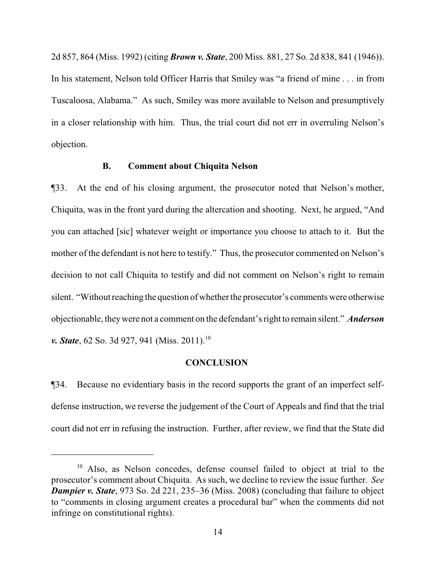2d 857, 864 (Miss. 1992) (citing *Brown v. State*, 200 Miss. 881, 27 So. 2d 838, 841 (1946)). In his statement, Nelson told Officer Harris that Smiley was "a friend of mine . . . in from Tuscaloosa, Alabama." As such, Smiley was more available to Nelson and presumptively in a closer relationship with him. Thus, the trial court did not err in overruling Nelson's objection.

### **B. Comment about Chiquita Nelson**

¶33. At the end of his closing argument, the prosecutor noted that Nelson's mother, Chiquita, was in the front yard during the altercation and shooting. Next, he argued, "And you can attached [sic] whatever weight or importance you choose to attach to it. But the mother of the defendant is not here to testify." Thus, the prosecutor commented on Nelson's decision to not call Chiquita to testify and did not comment on Nelson's right to remain silent. "Without reaching the question of whether the prosecutor's comments were otherwise objectionable, theywere not a comment on the defendant's right to remain silent." *Anderson v. State*, 62 So. 3d 927, 941 (Miss. 2011).<sup>10</sup>

#### **CONCLUSION**

¶34. Because no evidentiary basis in the record supports the grant of an imperfect selfdefense instruction, we reverse the judgement of the Court of Appeals and find that the trial court did not err in refusing the instruction. Further, after review, we find that the State did

<sup>&</sup>lt;sup>10</sup> Also, as Nelson concedes, defense counsel failed to object at trial to the prosecutor's comment about Chiquita. As such, we decline to review the issue further. *See Dampier v. State*, 973 So. 2d 221, 235–36 (Miss. 2008) (concluding that failure to object to "comments in closing argument creates a procedural bar" when the comments did not infringe on constitutional rights).